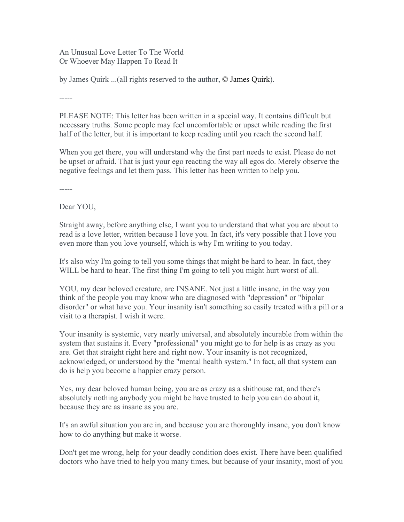An Unusual Love Letter To The World Or Whoever May Happen To Read It

by James Quirk ...(all rights reserved to the author, © James Quirk).

-----

PLEASE NOTE: This letter has been written in a special way. It contains difficult but necessary truths. Some people may feel uncomfortable or upset while reading the first half of the letter, but it is important to keep reading until you reach the second half.

When you get there, you will understand why the first part needs to exist. Please do not be upset or afraid. That is just your ego reacting the way all egos do. Merely observe the negative feelings and let them pass. This letter has been written to help you.

-----

Dear YOU,

Straight away, before anything else, I want you to understand that what you are about to read is a love letter, written because I love you. In fact, it's very possible that I love you even more than you love yourself, which is why I'm writing to you today.

It's also why I'm going to tell you some things that might be hard to hear. In fact, they WILL be hard to hear. The first thing I'm going to tell you might hurt worst of all.

YOU, my dear beloved creature, are INSANE. Not just a little insane, in the way you think of the people you may know who are diagnosed with "depression" or "bipolar disorder" or what have you. Your insanity isn't something so easily treated with a pill or a visit to a therapist. I wish it were.

Your insanity is systemic, very nearly universal, and absolutely incurable from within the system that sustains it. Every "professional" you might go to for help is as crazy as you are. Get that straight right here and right now. Your insanity is not recognized, acknowledged, or understood by the "mental health system." In fact, all that system can do is help you become a happier crazy person.

Yes, my dear beloved human being, you are as crazy as a shithouse rat, and there's absolutely nothing anybody you might be have trusted to help you can do about it, because they are as insane as you are.

It's an awful situation you are in, and because you are thoroughly insane, you don't know how to do anything but make it worse.

Don't get me wrong, help for your deadly condition does exist. There have been qualified doctors who have tried to help you many times, but because of your insanity, most of you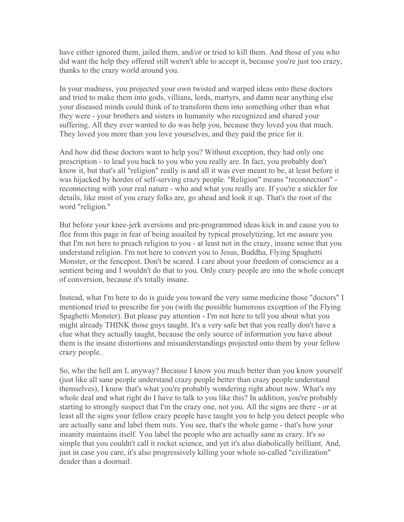have either ignored them, jailed them, and/or or tried to kill them. And those of you who did want the help they offered still weren't able to accept it, because you're just too crazy, thanks to the crazy world around you.

In your madness, you projected your own twisted and warped ideas onto these doctors and tried to make them into gods, villians, lords, martyrs, and damn near anything else your diseased minds could think of to transform them into something other than what they were - your brothers and sisters in humanity who recognized and shared your suffering. All they ever wanted to do was help you, because they loved you that much. They loved you more than you love yourselves, and they paid the price for it.

And how did these doctors want to help you? Without exception, they had only one prescription - to lead you back to you who you really are. In fact, you probably don't know it, but that's all "religion" really is and all it was ever meant to be, at least before it was hijacked by hordes of self-serving crazy people. "Religion" means "reconnection" reconnecting with your real nature - who and what you really are. If you're a stickler for details, like most of you crazy folks are, go ahead and look it up. That's the root of the word "religion."

But before your knee-jerk aversions and pre-programmed ideas kick in and cause you to flee from this page in fear of being assailed by typical proselytizing, let me assure you that I'm not here to preach religion to you - at least not in the crazy, insane sense that you understand religion. I'm not here to convert you to Jesus, Buddha, Flying Spaghetti Monster, or the fencepost. Don't be scared. I care about your freedom of conscience as a sentient being and I wouldn't do that to you. Only crazy people are into the whole concept of conversion, because it's totally insane.

Instead, what I'm here to do is guide you toward the very same medicine those "doctors" I mentioned tried to prescribe for you (with the possible humorous exception of the Flying Spaghetti Monster). But please pay attention - I'm not here to tell you about what you might already THINK those guys taught. It's a very safe bet that you really don't have a clue what they actually taught, because the only source of information you have about them is the insane distortions and misunderstandings projected onto them by your fellow crazy people.

So, who the hell am I, anyway? Because I know you much better than you know yourself (just like all sane people understand crazy people better than crazy people understand themselves), I know that's what you're probably wondering right about now. What's my whole deal and what right do I have to talk to you like this? In addition, you're probably starting to strongly suspect that I'm the crazy one, not you. All the signs are there - or at least all the signs your fellow crazy people have taught you to help you detect people who are actually sane and label them nuts. You see, that's the whole game - that's how your insanity maintains itself. You label the people who are actually sane as crazy. It's so simple that you couldn't call it rocket science, and yet it's also diabolically brilliant. And, just in case you care, it's also progressively killing your whole so-called "civilization" deader than a doornail.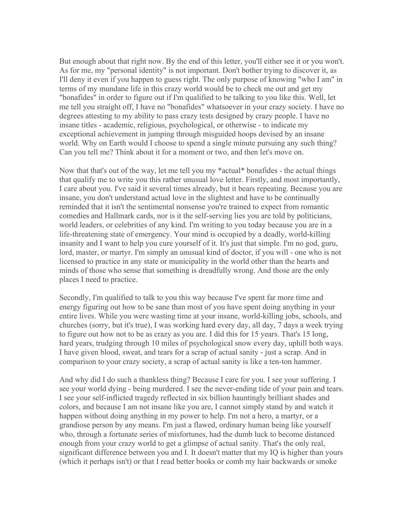But enough about that right now. By the end of this letter, you'll either see it or you won't. As for me, my "personal identity" is not important. Don't bother trying to discover it, as I'll deny it even if you happen to guess right. The only purpose of knowing "who I am" in terms of my mundane life in this crazy world would be to check me out and get my "bonafides" in order to figure out if I'm qualified to be talking to you like this. Well, let me tell you straight off, I have no "bonafides" whatsoever in your crazy society. I have no degrees attesting to my ability to pass crazy tests designed by crazy people. I have no insane titles - academic, religious, psychological, or otherwise - to indicate my exceptional achievement in jumping through misguided hoops devised by an insane world. Why on Earth would I choose to spend a single minute pursuing any such thing? Can you tell me? Think about it for a moment or two, and then let's move on.

Now that that's out of the way, let me tell you my \*actual\* bonafides - the actual things that qualify me to write you this rather unusual love letter. Firstly, and most importantly, I care about you. I've said it several times already, but it bears repeating. Because you are insane, you don't understand actual love in the slightest and have to be continually reminded that it isn't the sentimental nonsense you're trained to expect from romantic comedies and Hallmark cards, nor is it the self-serving lies you are told by politicians, world leaders, or celebrities of any kind. I'm writing to you today because you are in a life-threatening state of emergency. Your mind is occupied by a deadly, world-killing insanity and I want to help you cure yourself of it. It's just that simple. I'm no god, guru, lord, master, or martyr. I'm simply an unusual kind of doctor, if you will - one who is not licensed to practice in any state or municipality in the world other than the hearts and minds of those who sense that something is dreadfully wrong. And those are the only places I need to practice.

Secondly, I'm qualified to talk to you this way because I've spent far more time and energy figuring out how to be sane than most of you have spent doing anything in your entire lives. While you were wasting time at your insane, world-killing jobs, schools, and churches (sorry, but it's true), I was working hard every day, all day, 7 days a week trying to figure out how not to be as crazy as you are. I did this for 15 years. That's 15 long, hard years, trudging through 10 miles of psychological snow every day, uphill both ways. I have given blood, sweat, and tears for a scrap of actual sanity - just a scrap. And in comparison to your crazy society, a scrap of actual sanity is like a ten-ton hammer.

And why did I do such a thankless thing? Because I care for you. I see your suffering. I see your world dying - being murdered. I see the never-ending tide of your pain and tears. I see your self-inflicted tragedy reflected in six billion hauntingly brilliant shades and colors, and because I am not insane like you are, I cannot simply stand by and watch it happen without doing anything in my power to help. I'm not a hero, a martyr, or a grandiose person by any means. I'm just a flawed, ordinary human being like yourself who, through a fortunate series of misfortunes, had the dumb luck to become distanced enough from your crazy world to get a glimpse of actual sanity. That's the only real, significant difference between you and I. It doesn't matter that my IQ is higher than yours (which it perhaps isn't) or that I read better books or comb my hair backwards or smoke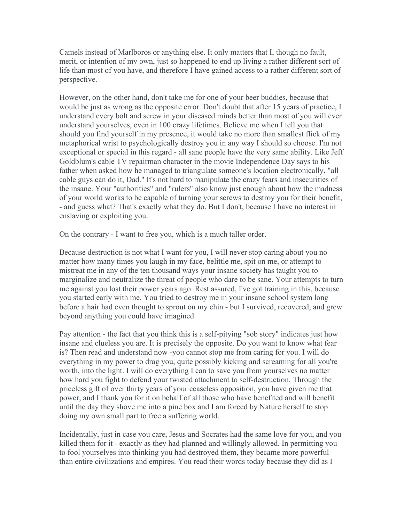Camels instead of Marlboros or anything else. It only matters that I, though no fault, merit, or intention of my own, just so happened to end up living a rather different sort of life than most of you have, and therefore I have gained access to a rather different sort of perspective.

However, on the other hand, don't take me for one of your beer buddies, because that would be just as wrong as the opposite error. Don't doubt that after 15 years of practice, I understand every bolt and screw in your diseased minds better than most of you will ever understand yourselves, even in 100 crazy lifetimes. Believe me when I tell you that should you find yourself in my presence, it would take no more than smallest flick of my metaphorical wrist to psychologically destroy you in any way I should so choose. I'm not exceptional or special in this regard - all sane people have the very same ability. Like Jeff Goldblum's cable TV repairman character in the movie Independence Day says to his father when asked how he managed to triangulate someone's location electronically, "all cable guys can do it, Dad." It's not hard to manipulate the crazy fears and insecurities of the insane. Your "authorities" and "rulers" also know just enough about how the madness of your world works to be capable of turning your screws to destroy you for their benefit, - and guess what? That's exactly what they do. But I don't, because I have no interest in enslaving or exploiting you.

On the contrary - I want to free you, which is a much taller order.

Because destruction is not what I want for you, I will never stop caring about you no matter how many times you laugh in my face, belittle me, spit on me, or attempt to mistreat me in any of the ten thousand ways your insane society has taught you to marginalize and neutralize the threat of people who dare to be sane. Your attempts to turn me against you lost their power years ago. Rest assured, I've got training in this, because you started early with me. You tried to destroy me in your insane school system long before a hair had even thought to sprout on my chin - but I survived, recovered, and grew beyond anything you could have imagined.

Pay attention - the fact that you think this is a self-pitying "sob story" indicates just how insane and clueless you are. It is precisely the opposite. Do you want to know what fear is? Then read and understand now -you cannot stop me from caring for you. I will do everything in my power to drag you, quite possibly kicking and screaming for all you're worth, into the light. I will do everything I can to save you from yourselves no matter how hard you fight to defend your twisted attachment to self-destruction. Through the priceless gift of over thirty years of your ceaseless opposition, you have given me that power, and I thank you for it on behalf of all those who have benefited and will benefit until the day they shove me into a pine box and I am forced by Nature herself to stop doing my own small part to free a suffering world.

Incidentally, just in case you care, Jesus and Socrates had the same love for you, and you killed them for it - exactly as they had planned and willingly allowed. In permitting you to fool yourselves into thinking you had destroyed them, they became more powerful than entire civilizations and empires. You read their words today because they did as I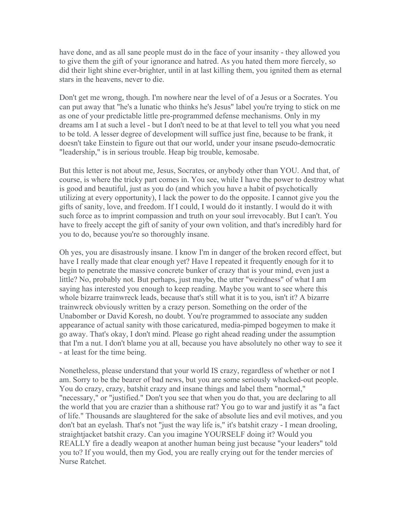have done, and as all sane people must do in the face of your insanity - they allowed you to give them the gift of your ignorance and hatred. As you hated them more fiercely, so did their light shine ever-brighter, until in at last killing them, you ignited them as eternal stars in the heavens, never to die.

Don't get me wrong, though. I'm nowhere near the level of of a Jesus or a Socrates. You can put away that "he's a lunatic who thinks he's Jesus" label you're trying to stick on me as one of your predictable little pre-programmed defense mechanisms. Only in my dreams am I at such a level - but I don't need to be at that level to tell you what you need to be told. A lesser degree of development will suffice just fine, because to be frank, it doesn't take Einstein to figure out that our world, under your insane pseudo-democratic "leadership," is in serious trouble. Heap big trouble, kemosabe.

But this letter is not about me, Jesus, Socrates, or anybody other than YOU. And that, of course, is where the tricky part comes in. You see, while I have the power to destroy what is good and beautiful, just as you do (and which you have a habit of psychotically utilizing at every opportunity), I lack the power to do the opposite. I cannot give you the gifts of sanity, love, and freedom. If I could, I would do it instantly. I would do it with such force as to imprint compassion and truth on your soul irrevocably. But I can't. You have to freely accept the gift of sanity of your own volition, and that's incredibly hard for you to do, because you're so thoroughly insane.

Oh yes, you are disastrously insane. I know I'm in danger of the broken record effect, but have I really made that clear enough yet? Have I repeated it frequently enough for it to begin to penetrate the massive concrete bunker of crazy that is your mind, even just a little? No, probably not. But perhaps, just maybe, the utter "weirdness" of what I am saying has interested you enough to keep reading. Maybe you want to see where this whole bizarre trainwreck leads, because that's still what it is to you, isn't it? A bizarre trainwreck obviously written by a crazy person. Something on the order of the Unabomber or David Koresh, no doubt. You're programmed to associate any sudden appearance of actual sanity with those caricatured, media-pimped bogeymen to make it go away. That's okay, I don't mind. Please go right ahead reading under the assumption that I'm a nut. I don't blame you at all, because you have absolutely no other way to see it - at least for the time being.

Nonetheless, please understand that your world IS crazy, regardless of whether or not I am. Sorry to be the bearer of bad news, but you are some seriously whacked-out people. You do crazy, crazy, batshit crazy and insane things and label them "normal," "necessary," or "justified." Don't you see that when you do that, you are declaring to all the world that you are crazier than a shithouse rat? You go to war and justify it as "a fact of life." Thousands are slaughtered for the sake of absolute lies and evil motives, and you don't bat an eyelash. That's not "just the way life is," it's batshit crazy - I mean drooling, straightjacket batshit crazy. Can you imagine YOURSELF doing it? Would you REALLY fire a deadly weapon at another human being just because "your leaders" told you to? If you would, then my God, you are really crying out for the tender mercies of Nurse Ratchet.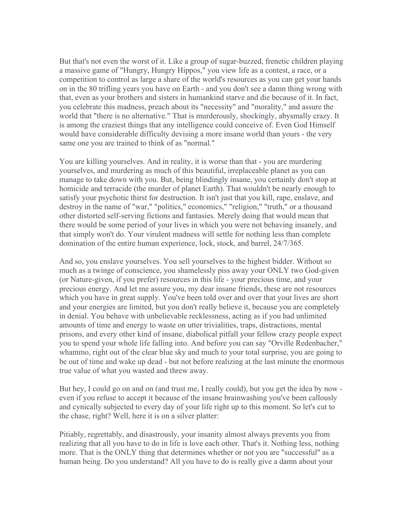But that's not even the worst of it. Like a group of sugar-buzzed, frenetic children playing a massive game of "Hungry, Hungry Hippos," you view life as a contest, a race, or a competition to control as large a share of the world's resources as you can get your hands on in the 80 trifling years you have on Earth - and you don't see a damn thing wrong with that, even as your brothers and sisters in humankind starve and die because of it. In fact, you celebrate this madness, preach about its "necessity" and "morality," and assure the world that "there is no alternative." That is murderously, shockingly, abysmally crazy. It is among the craziest things that any intelligence could conceive of. Even God Himself would have considerable difficulty devising a more insane world than yours - the very same one you are trained to think of as "normal."

You are killing yourselves. And in reality, it is worse than that - you are murdering yourselves, and murdering as much of this beautiful, irreplaceable planet as you can manage to take down with you. But, being blindingly insane, you certainly don't stop at homicide and terracide (the murder of planet Earth). That wouldn't be nearly enough to satisfy your psychotic thirst for destruction. It isn't just that you kill, rape, enslave, and destroy in the name of "war," "politics," economics," "religion," "truth," or a thousand other distorted self-serving fictions and fantasies. Merely doing that would mean that there would be some period of your lives in which you were not behaving insanely, and that simply won't do. Your virulent madness will settle for nothing less than complete domination of the entire human experience, lock, stock, and barrel, 24/7/365.

And so, you enslave yourselves. You sell yourselves to the highest bidder. Without so much as a twinge of conscience, you shamelessly piss away your ONLY two God-given (or Nature-given, if you prefer) resources in this life - your precious time, and your precious energy. And let me assure you, my dear insane friends, these are not resources which you have in great supply. You've been told over and over that your lives are short and your energies are limited, but you don't really believe it, because you are completely in denial. You behave with unbelievable recklessness, acting as if you had unlimited amounts of time and energy to waste on utter trivialities, traps, distractions, mental prisons, and every other kind of insane, diabolical pitfall your fellow crazy people expect you to spend your whole life falling into. And before you can say "Orville Redenbacher," whammo, right out of the clear blue sky and much to your total surprise, you are going to be out of time and wake up dead - but not before realizing at the last minute the enormous true value of what you wasted and threw away.

But hey, I could go on and on (and trust me, I really could), but you get the idea by now even if you refuse to accept it because of the insane brainwashing you've been callously and cynically subjected to every day of your life right up to this moment. So let's cut to the chase, right? Well, here it is on a silver platter:

Pitiably, regrettably, and disastrously, your insanity almost always prevents you from realizing that all you have to do in life is love each other. That's it. Nothing less, nothing more. That is the ONLY thing that determines whether or not you are "successful" as a human being. Do you understand? All you have to do is really give a damn about your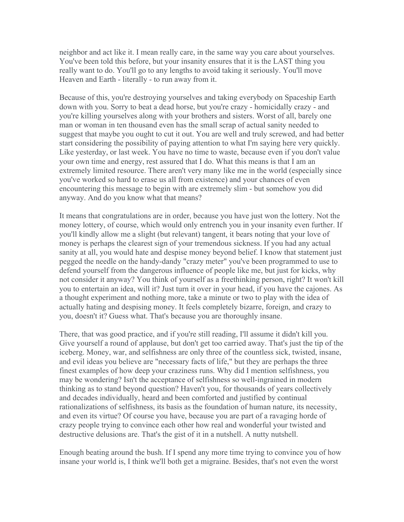neighbor and act like it. I mean really care, in the same way you care about yourselves. You've been told this before, but your insanity ensures that it is the LAST thing you really want to do. You'll go to any lengths to avoid taking it seriously. You'll move Heaven and Earth - literally - to run away from it.

Because of this, you're destroying yourselves and taking everybody on Spaceship Earth down with you. Sorry to beat a dead horse, but you're crazy - homicidally crazy - and you're killing yourselves along with your brothers and sisters. Worst of all, barely one man or woman in ten thousand even has the small scrap of actual sanity needed to suggest that maybe you ought to cut it out. You are well and truly screwed, and had better start considering the possibility of paying attention to what I'm saying here very quickly. Like yesterday, or last week. You have no time to waste, because even if you don't value your own time and energy, rest assured that I do. What this means is that I am an extremely limited resource. There aren't very many like me in the world (especially since you've worked so hard to erase us all from existence) and your chances of even encountering this message to begin with are extremely slim - but somehow you did anyway. And do you know what that means?

It means that congratulations are in order, because you have just won the lottery. Not the money lottery, of course, which would only entrench you in your insanity even further. If you'll kindly allow me a slight (but relevant) tangent, it bears noting that your love of money is perhaps the clearest sign of your tremendous sickness. If you had any actual sanity at all, you would hate and despise money beyond belief. I know that statement just pegged the needle on the handy-dandy "crazy meter" you've been programmed to use to defend yourself from the dangerous influence of people like me, but just for kicks, why not consider it anyway? You think of yourself as a freethinking person, right? It won't kill you to entertain an idea, will it? Just turn it over in your head, if you have the cajones. As a thought experiment and nothing more, take a minute or two to play with the idea of actually hating and despising money. It feels completely bizarre, foreign, and crazy to you, doesn't it? Guess what. That's because you are thoroughly insane.

There, that was good practice, and if you're still reading, I'll assume it didn't kill you. Give yourself a round of applause, but don't get too carried away. That's just the tip of the iceberg. Money, war, and selfishness are only three of the countless sick, twisted, insane, and evil ideas you believe are "necessary facts of life," but they are perhaps the three finest examples of how deep your craziness runs. Why did I mention selfishness, you may be wondering? Isn't the acceptance of selfishness so well-ingrained in modern thinking as to stand beyond question? Haven't you, for thousands of years collectively and decades individually, heard and been comforted and justified by continual rationalizations of selfishness, its basis as the foundation of human nature, its necessity, and even its virtue? Of course you have, because you are part of a ravaging horde of crazy people trying to convince each other how real and wonderful your twisted and destructive delusions are. That's the gist of it in a nutshell. A nutty nutshell.

Enough beating around the bush. If I spend any more time trying to convince you of how insane your world is, I think we'll both get a migraine. Besides, that's not even the worst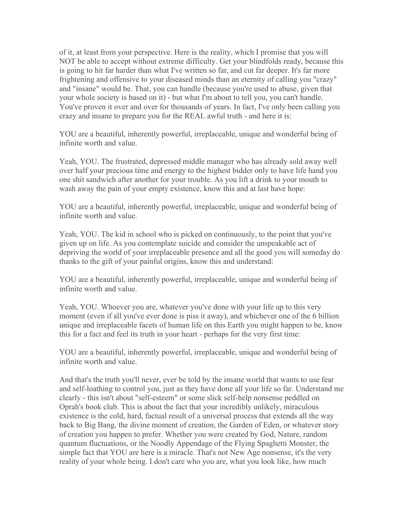of it, at least from your perspective. Here is the reality, which I promise that you will NOT be able to accept without extreme difficulty. Get your blindfolds ready, because this is going to hit far harder than what I've written so far, and cut far deeper. It's far more frightening and offensive to your diseased minds than an eternity of calling you "crazy" and "insane" would be. That, you can handle (because you're used to abuse, given that your whole society is based on it) - but what I'm about to tell you, you can't handle. You've proven it over and over for thousands of years. In fact, I've only been calling you crazy and insane to prepare you for the REAL awful truth - and here it is:

YOU are a beautiful, inherently powerful, irreplaceable, unique and wonderful being of infinite worth and value.

Yeah, YOU. The frustrated, depressed middle manager who has already sold away well over half your precious time and energy to the highest bidder only to have life hand you one shit sandwich after another for your trouble. As you lift a drink to your mouth to wash away the pain of your empty existence, know this and at last have hope:

YOU are a beautiful, inherently powerful, irreplaceable, unique and wonderful being of infinite worth and value.

Yeah, YOU. The kid in school who is picked on continuously, to the point that you've given up on life. As you contemplate suicide and consider the unspeakable act of depriving the world of your irreplaceable presence and all the good you will someday do thanks to the gift of your painful origins, know this and understand:

YOU are a beautiful, inherently powerful, irreplaceable, unique and wonderful being of infinite worth and value.

Yeah, YOU. Whoever you are, whatever you've done with your life up to this very moment (even if all you've ever done is piss it away), and whichever one of the 6 billion unique and irreplaceable facets of human life on this Earth you might happen to be, know this for a fact and feel its truth in your heart - perhaps for the very first time:

YOU are a beautiful, inherently powerful, irreplaceable, unique and wonderful being of infinite worth and value.

And that's the truth you'll never, ever be told by the insane world that wants to use fear and self-loathing to control you, just as they have done all your life so far. Understand me clearly - this isn't about "self-esteem" or some slick self-help nonsense peddled on Oprah's book club. This is about the fact that your incredibly unlikely, miraculous existence is the cold, hard, factual result of a universal process that extends all the way back to Big Bang, the divine moment of creation, the Garden of Eden, or whatever story of creation you happen to prefer. Whether you were created by God, Nature, random quantum fluctuations, or the Noodly Appendage of the Flying Spaghetti Monster, the simple fact that YOU are here is a miracle. That's not New Age nonsense, it's the very reality of your whole being. I don't care who you are, what you look like, how much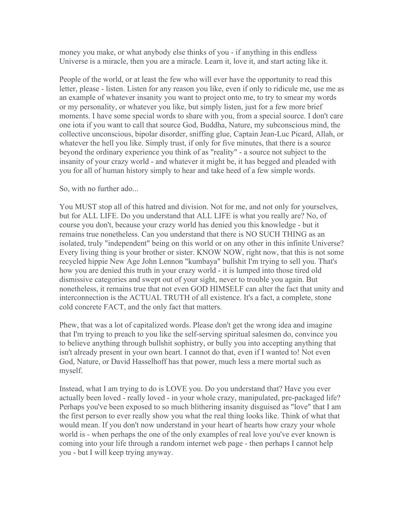money you make, or what anybody else thinks of you - if anything in this endless Universe is a miracle, then you are a miracle. Learn it, love it, and start acting like it.

People of the world, or at least the few who will ever have the opportunity to read this letter, please - listen. Listen for any reason you like, even if only to ridicule me, use me as an example of whatever insanity you want to project onto me, to try to smear my words or my personality, or whatever you like, but simply listen, just for a few more brief moments. I have some special words to share with you, from a special source. I don't care one iota if you want to call that source God, Buddha, Nature, my subconscious mind, the collective unconscious, bipolar disorder, sniffing glue, Captain Jean-Luc Picard, Allah, or whatever the hell you like. Simply trust, if only for five minutes, that there is a source beyond the ordinary experience you think of as "reality" - a source not subject to the insanity of your crazy world - and whatever it might be, it has begged and pleaded with you for all of human history simply to hear and take heed of a few simple words.

So, with no further ado...

You MUST stop all of this hatred and division. Not for me, and not only for yourselves, but for ALL LIFE. Do you understand that ALL LIFE is what you really are? No, of course you don't, because your crazy world has denied you this knowledge - but it remains true nonetheless. Can you understand that there is NO SUCH THING as an isolated, truly "independent" being on this world or on any other in this infinite Universe? Every living thing is your brother or sister. KNOW NOW, right now, that this is not some recycled hippie New Age John Lennon "kumbaya" bullshit I'm trying to sell you. That's how you are denied this truth in your crazy world - it is lumped into those tired old dismissive categories and swept out of your sight, never to trouble you again. But nonetheless, it remains true that not even GOD HIMSELF can alter the fact that unity and interconnection is the ACTUAL TRUTH of all existence. It's a fact, a complete, stone cold concrete FACT, and the only fact that matters.

Phew, that was a lot of capitalized words. Please don't get the wrong idea and imagine that I'm trying to preach to you like the self-serving spiritual salesmen do, convince you to believe anything through bullshit sophistry, or bully you into accepting anything that isn't already present in your own heart. I cannot do that, even if I wanted to! Not even God, Nature, or David Hasselhoff has that power, much less a mere mortal such as myself.

Instead, what I am trying to do is LOVE you. Do you understand that? Have you ever actually been loved - really loved - in your whole crazy, manipulated, pre-packaged life? Perhaps you've been exposed to so much blithering insanity disguised as "love" that I am the first person to ever really show you what the real thing looks like. Think of what that would mean. If you don't now understand in your heart of hearts how crazy your whole world is - when perhaps the one of the only examples of real love you've ever known is coming into your life through a random internet web page - then perhaps I cannot help you - but I will keep trying anyway.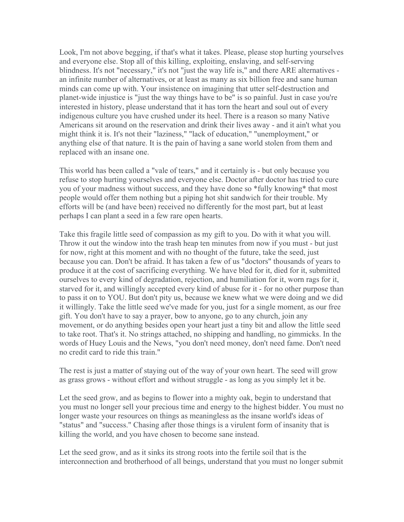Look, I'm not above begging, if that's what it takes. Please, please stop hurting yourselves and everyone else. Stop all of this killing, exploiting, enslaving, and self-serving blindness. It's not "necessary," it's not "just the way life is," and there ARE alternatives an infinite number of alternatives, or at least as many as six billion free and sane human minds can come up with. Your insistence on imagining that utter self-destruction and planet-wide injustice is "just the way things have to be" is so painful. Just in case you're interested in history, please understand that it has torn the heart and soul out of every indigenous culture you have crushed under its heel. There is a reason so many Native Americans sit around on the reservation and drink their lives away - and it ain't what you might think it is. It's not their "laziness," "lack of education," "unemployment," or anything else of that nature. It is the pain of having a sane world stolen from them and replaced with an insane one.

This world has been called a "vale of tears," and it certainly is - but only because you refuse to stop hurting yourselves and everyone else. Doctor after doctor has tried to cure you of your madness without success, and they have done so \*fully knowing\* that most people would offer them nothing but a piping hot shit sandwich for their trouble. My efforts will be (and have been) received no differently for the most part, but at least perhaps I can plant a seed in a few rare open hearts.

Take this fragile little seed of compassion as my gift to you. Do with it what you will. Throw it out the window into the trash heap ten minutes from now if you must - but just for now, right at this moment and with no thought of the future, take the seed, just because you can. Don't be afraid. It has taken a few of us "doctors" thousands of years to produce it at the cost of sacrificing everything. We have bled for it, died for it, submitted ourselves to every kind of degradation, rejection, and humiliation for it, worn rags for it, starved for it, and willingly accepted every kind of abuse for it - for no other purpose than to pass it on to YOU. But don't pity us, because we knew what we were doing and we did it willingly. Take the little seed we've made for you, just for a single moment, as our free gift. You don't have to say a prayer, bow to anyone, go to any church, join any movement, or do anything besides open your heart just a tiny bit and allow the little seed to take root. That's it. No strings attached, no shipping and handling, no gimmicks. In the words of Huey Louis and the News, "you don't need money, don't need fame. Don't need no credit card to ride this train."

The rest is just a matter of staying out of the way of your own heart. The seed will grow as grass grows - without effort and without struggle - as long as you simply let it be.

Let the seed grow, and as begins to flower into a mighty oak, begin to understand that you must no longer sell your precious time and energy to the highest bidder. You must no longer waste your resources on things as meaningless as the insane world's ideas of "status" and "success." Chasing after those things is a virulent form of insanity that is killing the world, and you have chosen to become sane instead.

Let the seed grow, and as it sinks its strong roots into the fertile soil that is the interconnection and brotherhood of all beings, understand that you must no longer submit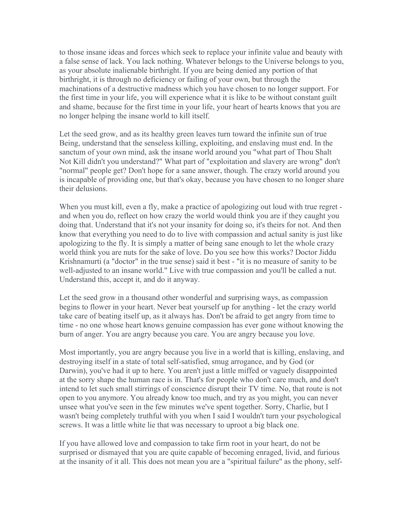to those insane ideas and forces which seek to replace your infinite value and beauty with a false sense of lack. You lack nothing. Whatever belongs to the Universe belongs to you, as your absolute inalienable birthright. If you are being denied any portion of that birthright, it is through no deficiency or failing of your own, but through the machinations of a destructive madness which you have chosen to no longer support. For the first time in your life, you will experience what it is like to be without constant guilt and shame, because for the first time in your life, your heart of hearts knows that you are no longer helping the insane world to kill itself.

Let the seed grow, and as its healthy green leaves turn toward the infinite sun of true Being, understand that the senseless killing, exploiting, and enslaving must end. In the sanctum of your own mind, ask the insane world around you "what part of Thou Shalt Not Kill didn't you understand?" What part of "exploitation and slavery are wrong" don't "normal" people get? Don't hope for a sane answer, though. The crazy world around you is incapable of providing one, but that's okay, because you have chosen to no longer share their delusions.

When you must kill, even a fly, make a practice of apologizing out loud with true regret and when you do, reflect on how crazy the world would think you are if they caught you doing that. Understand that it's not your insanity for doing so, it's theirs for not. And then know that everything you need to do to live with compassion and actual sanity is just like apologizing to the fly. It is simply a matter of being sane enough to let the whole crazy world think you are nuts for the sake of love. Do you see how this works? Doctor Jiddu Krishnamurti (a "doctor" in the true sense) said it best - "it is no measure of sanity to be well-adjusted to an insane world." Live with true compassion and you'll be called a nut. Understand this, accept it, and do it anyway.

Let the seed grow in a thousand other wonderful and surprising ways, as compassion begins to flower in your heart. Never beat yourself up for anything - let the crazy world take care of beating itself up, as it always has. Don't be afraid to get angry from time to time - no one whose heart knows genuine compassion has ever gone without knowing the burn of anger. You are angry because you care. You are angry because you love.

Most importantly, you are angry because you live in a world that is killing, enslaving, and destroying itself in a state of total self-satisfied, smug arrogance, and by God (or Darwin), you've had it up to here. You aren't just a little miffed or vaguely disappointed at the sorry shape the human race is in. That's for people who don't care much, and don't intend to let such small stirrings of conscience disrupt their TV time. No, that route is not open to you anymore. You already know too much, and try as you might, you can never unsee what you've seen in the few minutes we've spent together. Sorry, Charlie, but I wasn't being completely truthful with you when I said I wouldn't turn your psychological screws. It was a little white lie that was necessary to uproot a big black one.

If you have allowed love and compassion to take firm root in your heart, do not be surprised or dismayed that you are quite capable of becoming enraged, livid, and furious at the insanity of it all. This does not mean you are a "spiritual failure" as the phony, self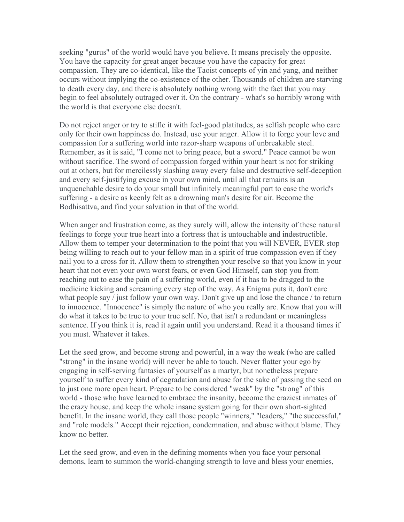seeking "gurus" of the world would have you believe. It means precisely the opposite. You have the capacity for great anger because you have the capacity for great compassion. They are co-identical, like the Taoist concepts of yin and yang, and neither occurs without implying the co-existence of the other. Thousands of children are starving to death every day, and there is absolutely nothing wrong with the fact that you may begin to feel absolutely outraged over it. On the contrary - what's so horribly wrong with the world is that everyone else doesn't.

Do not reject anger or try to stifle it with feel-good platitudes, as selfish people who care only for their own happiness do. Instead, use your anger. Allow it to forge your love and compassion for a suffering world into razor-sharp weapons of unbreakable steel. Remember, as it is said, "I come not to bring peace, but a sword." Peace cannot be won without sacrifice. The sword of compassion forged within your heart is not for striking out at others, but for mercilessly slashing away every false and destructive self-deception and every self-justifying excuse in your own mind, until all that remains is an unquenchable desire to do your small but infinitely meaningful part to ease the world's suffering - a desire as keenly felt as a drowning man's desire for air. Become the Bodhisattva, and find your salvation in that of the world.

When anger and frustration come, as they surely will, allow the intensity of these natural feelings to forge your true heart into a fortress that is untouchable and indestructible. Allow them to temper your determination to the point that you will NEVER, EVER stop being willing to reach out to your fellow man in a spirit of true compassion even if they nail you to a cross for it. Allow them to strengthen your resolve so that you know in your heart that not even your own worst fears, or even God Himself, can stop you from reaching out to ease the pain of a suffering world, even if it has to be dragged to the medicine kicking and screaming every step of the way. As Enigma puts it, don't care what people say / just follow your own way. Don't give up and lose the chance / to return to innocence. "Innocence" is simply the nature of who you really are. Know that you will do what it takes to be true to your true self. No, that isn't a redundant or meaningless sentence. If you think it is, read it again until you understand. Read it a thousand times if you must. Whatever it takes.

Let the seed grow, and become strong and powerful, in a way the weak (who are called "strong" in the insane world) will never be able to touch. Never flatter your ego by engaging in self-serving fantasies of yourself as a martyr, but nonetheless prepare yourself to suffer every kind of degradation and abuse for the sake of passing the seed on to just one more open heart. Prepare to be considered "weak" by the "strong" of this world - those who have learned to embrace the insanity, become the craziest inmates of the crazy house, and keep the whole insane system going for their own short-sighted benefit. In the insane world, they call those people "winners," "leaders," "the successful," and "role models." Accept their rejection, condemnation, and abuse without blame. They know no better.

Let the seed grow, and even in the defining moments when you face your personal demons, learn to summon the world-changing strength to love and bless your enemies,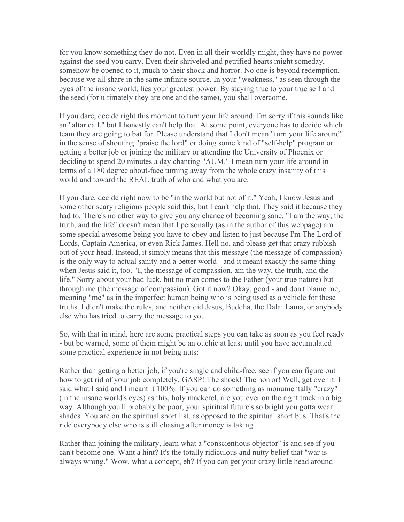for you know something they do not. Even in all their worldly might, they have no power against the seed you carry. Even their shriveled and petrified hearts might someday, somehow be opened to it, much to their shock and horror. No one is beyond redemption, because we all share in the same infinite source. In your "weakness," as seen through the eyes of the insane world, lies your greatest power. By staying true to your true self and the seed (for ultimately they are one and the same), you shall overcome.

If you dare, decide right this moment to turn your life around. I'm sorry if this sounds like an "altar call," but I honestly can't help that. At some point, everyone has to decide which team they are going to bat for. Please understand that I don't mean "turn your life around" in the sense of shouting "praise the lord" or doing some kind of "self-help" program or getting a better job or joining the military or attending the University of Phoenix or deciding to spend 20 minutes a day chanting "AUM." I mean turn your life around in terms of a 180 degree about-face turning away from the whole crazy insanity of this world and toward the REAL truth of who and what you are.

If you dare, decide right now to be "in the world but not of it." Yeah, I know Jesus and some other scary religious people said this, but I can't help that. They said it because they had to. There's no other way to give you any chance of becoming sane. "I am the way, the truth, and the life" doesn't mean that I personally (as in the author of this webpage) am some special awesome being you have to obey and listen to just because I'm The Lord of Lords, Captain America, or even Rick James. Hell no, and please get that crazy rubbish out of your head. Instead, it simply means that this message (the message of compassion) is the only way to actual sanity and a better world - and it meant exactly the same thing when Jesus said it, too. "I, the message of compassion, am the way, the truth, and the life." Sorry about your bad luck, but no man comes to the Father (your true nature) but through me (the message of compassion). Got it now? Okay, good - and don't blame me, meaning "me" as in the imperfect human being who is being used as a vehicle for these truths. I didn't make the rules, and neither did Jesus, Buddha, the Dalai Lama, or anybody else who has tried to carry the message to you.

So, with that in mind, here are some practical steps you can take as soon as you feel ready - but be warned, some of them might be an ouchie at least until you have accumulated some practical experience in not being nuts:

Rather than getting a better job, if you're single and child-free, see if you can figure out how to get rid of your job completely. GASP! The shock! The horror! Well, get over it. I said what I said and I meant it 100%. If you can do something as monumentally "crazy" (in the insane world's eyes) as this, holy mackerel, are you ever on the right track in a big way. Although you'll probably be poor, your spiritual future's so bright you gotta wear shades. You are on the spiritual short list, as opposed to the spiritual short bus. That's the ride everybody else who is still chasing after money is taking.

Rather than joining the military, learn what a "conscientious objector" is and see if you can't become one. Want a hint? It's the totally ridiculous and nutty belief that "war is always wrong." Wow, what a concept, eh? If you can get your crazy little head around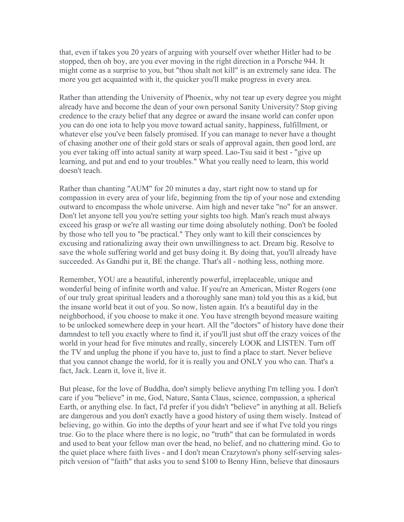that, even if takes you 20 years of arguing with yourself over whether Hitler had to be stopped, then oh boy, are you ever moving in the right direction in a Porsche 944. It might come as a surprise to you, but "thou shalt not kill" is an extremely sane idea. The more you get acquainted with it, the quicker you'll make progress in every area.

Rather than attending the University of Phoenix, why not tear up every degree you might already have and become the dean of your own personal Sanity University? Stop giving credence to the crazy belief that any degree or award the insane world can confer upon you can do one iota to help you move toward actual sanity, happiness, fulfillment, or whatever else you've been falsely promised. If you can manage to never have a thought of chasing another one of their gold stars or seals of approval again, then good lord, are you ever taking off into actual sanity at warp speed. Lao-Tsu said it best - "give up learning, and put and end to your troubles." What you really need to learn, this world doesn't teach.

Rather than chanting "AUM" for 20 minutes a day, start right now to stand up for compassion in every area of your life, beginning from the tip of your nose and extending outward to encompass the whole universe. Aim high and never take "no" for an answer. Don't let anyone tell you you're setting your sights too high. Man's reach must always exceed his grasp or we're all wasting our time doing absolutely nothing. Don't be fooled by those who tell you to "be practical." They only want to kill their consciences by excusing and rationalizing away their own unwillingness to act. Dream big. Resolve to save the whole suffering world and get busy doing it. By doing that, you'll already have succeeded. As Gandhi put it, BE the change. That's all - nothing less, nothing more.

Remember, YOU are a beautiful, inherently powerful, irreplaceable, unique and wonderful being of infinite worth and value. If you're an American, Mister Rogers (one of our truly great spiritual leaders and a thoroughly sane man) told you this as a kid, but the insane world beat it out of you. So now, listen again. It's a beautiful day in the neighborhood, if you choose to make it one. You have strength beyond measure waiting to be unlocked somewhere deep in your heart. All the "doctors" of history have done their damndest to tell you exactly where to find it, if you'll just shut off the crazy voices of the world in your head for five minutes and really, sincerely LOOK and LISTEN. Turn off the TV and unplug the phone if you have to, just to find a place to start. Never believe that you cannot change the world, for it is really you and ONLY you who can. That's a fact, Jack. Learn it, love it, live it.

But please, for the love of Buddha, don't simply believe anything I'm telling you. I don't care if you "believe" in me, God, Nature, Santa Claus, science, compassion, a spherical Earth, or anything else. In fact, I'd prefer if you didn't "believe" in anything at all. Beliefs are dangerous and you don't exactly have a good history of using them wisely. Instead of believing, go within. Go into the depths of your heart and see if what I've told you rings true. Go to the place where there is no logic, no "truth" that can be formulated in words and used to beat your fellow man over the head, no belief, and no chattering mind. Go to the quiet place where faith lives - and I don't mean Crazytown's phony self-serving salespitch version of "faith" that asks you to send \$100 to Benny Hinn, believe that dinosaurs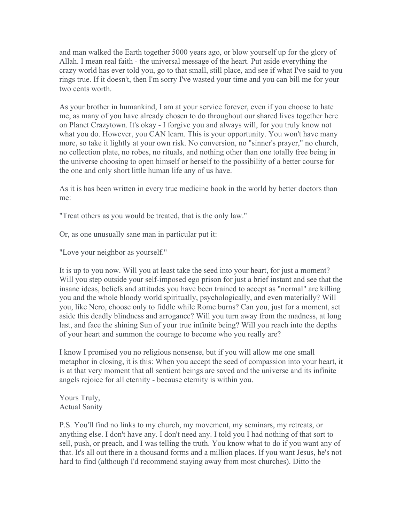and man walked the Earth together 5000 years ago, or blow yourself up for the glory of Allah. I mean real faith - the universal message of the heart. Put aside everything the crazy world has ever told you, go to that small, still place, and see if what I've said to you rings true. If it doesn't, then I'm sorry I've wasted your time and you can bill me for your two cents worth.

As your brother in humankind, I am at your service forever, even if you choose to hate me, as many of you have already chosen to do throughout our shared lives together here on Planet Crazytown. It's okay - I forgive you and always will, for you truly know not what you do. However, you CAN learn. This is your opportunity. You won't have many more, so take it lightly at your own risk. No conversion, no "sinner's prayer," no church, no collection plate, no robes, no rituals, and nothing other than one totally free being in the universe choosing to open himself or herself to the possibility of a better course for the one and only short little human life any of us have.

As it is has been written in every true medicine book in the world by better doctors than me:

"Treat others as you would be treated, that is the only law."

Or, as one unusually sane man in particular put it:

"Love your neighbor as yourself."

It is up to you now. Will you at least take the seed into your heart, for just a moment? Will you step outside your self-imposed ego prison for just a brief instant and see that the insane ideas, beliefs and attitudes you have been trained to accept as "normal" are killing you and the whole bloody world spiritually, psychologically, and even materially? Will you, like Nero, choose only to fiddle while Rome burns? Can you, just for a moment, set aside this deadly blindness and arrogance? Will you turn away from the madness, at long last, and face the shining Sun of your true infinite being? Will you reach into the depths of your heart and summon the courage to become who you really are?

I know I promised you no religious nonsense, but if you will allow me one small metaphor in closing, it is this: When you accept the seed of compassion into your heart, it is at that very moment that all sentient beings are saved and the universe and its infinite angels rejoice for all eternity - because eternity is within you.

Yours Truly, Actual Sanity

P.S. You'll find no links to my church, my movement, my seminars, my retreats, or anything else. I don't have any. I don't need any. I told you I had nothing of that sort to sell, push, or preach, and I was telling the truth. You know what to do if you want any of that. It's all out there in a thousand forms and a million places. If you want Jesus, he's not hard to find (although I'd recommend staying away from most churches). Ditto the